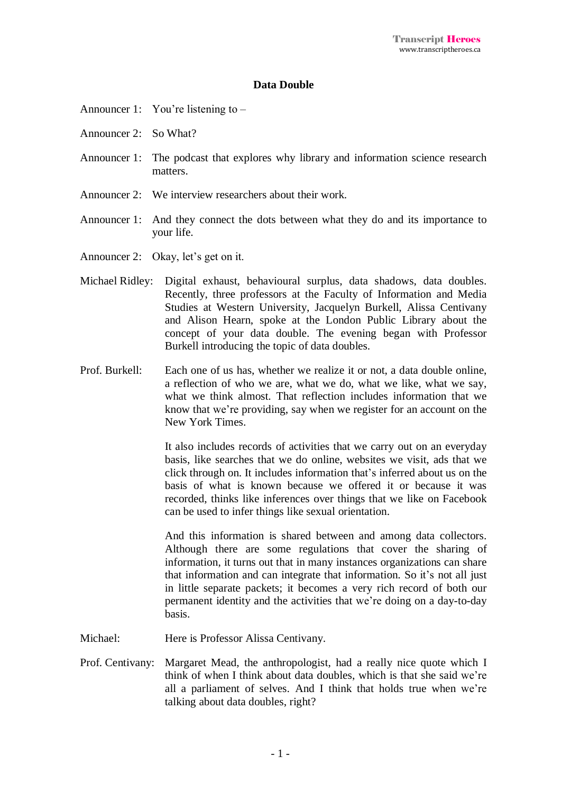## **Data Double**

- Announcer 1: You're listening to –
- Announcer 2: So What?
- Announcer 1: The podcast that explores why library and information science research matters.
- Announcer 2: We interview researchers about their work.
- Announcer 1: And they connect the dots between what they do and its importance to your life.
- Announcer 2: Okay, let's get on it.
- Michael Ridley: Digital exhaust, behavioural surplus, data shadows, data doubles. Recently, three professors at the Faculty of Information and Media Studies at Western University, Jacquelyn Burkell, Alissa Centivany and Alison Hearn, spoke at the London Public Library about the concept of your data double. The evening began with Professor Burkell introducing the topic of data doubles.
- Prof. Burkell: Each one of us has, whether we realize it or not, a data double online, a reflection of who we are, what we do, what we like, what we say, what we think almost. That reflection includes information that we know that we're providing, say when we register for an account on the New York Times.

It also includes records of activities that we carry out on an everyday basis, like searches that we do online, websites we visit, ads that we click through on. It includes information that's inferred about us on the basis of what is known because we offered it or because it was recorded, thinks like inferences over things that we like on Facebook can be used to infer things like sexual orientation.

And this information is shared between and among data collectors. Although there are some regulations that cover the sharing of information, it turns out that in many instances organizations can share that information and can integrate that information. So it's not all just in little separate packets; it becomes a very rich record of both our permanent identity and the activities that we're doing on a day-to-day basis.

- Michael: Here is Professor Alissa Centivany.
- Prof. Centivany: Margaret Mead, the anthropologist, had a really nice quote which I think of when I think about data doubles, which is that she said we're all a parliament of selves. And I think that holds true when we're talking about data doubles, right?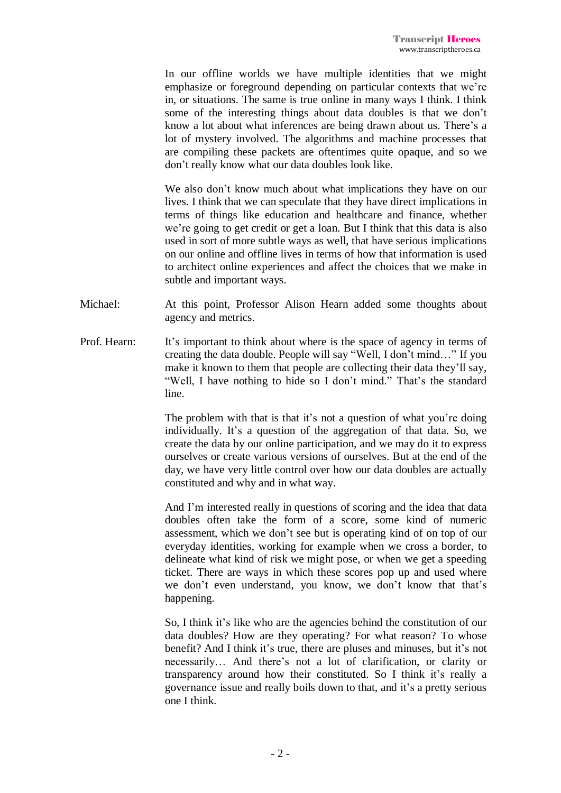In our offline worlds we have multiple identities that we might emphasize or foreground depending on particular contexts that we're in, or situations. The same is true online in many ways I think. I think some of the interesting things about data doubles is that we don't know a lot about what inferences are being drawn about us. There's a lot of mystery involved. The algorithms and machine processes that are compiling these packets are oftentimes quite opaque, and so we don't really know what our data doubles look like.

We also don't know much about what implications they have on our lives. I think that we can speculate that they have direct implications in terms of things like education and healthcare and finance, whether we're going to get credit or get a loan. But I think that this data is also used in sort of more subtle ways as well, that have serious implications on our online and offline lives in terms of how that information is used to architect online experiences and affect the choices that we make in subtle and important ways.

- Michael: At this point, Professor Alison Hearn added some thoughts about agency and metrics.
- Prof. Hearn: It's important to think about where is the space of agency in terms of creating the data double. People will say "Well, I don't mind…" If you make it known to them that people are collecting their data they'll say, "Well, I have nothing to hide so I don't mind." That's the standard line.

The problem with that is that it's not a question of what you're doing individually. It's a question of the aggregation of that data. So, we create the data by our online participation, and we may do it to express ourselves or create various versions of ourselves. But at the end of the day, we have very little control over how our data doubles are actually constituted and why and in what way.

And I'm interested really in questions of scoring and the idea that data doubles often take the form of a score, some kind of numeric assessment, which we don't see but is operating kind of on top of our everyday identities, working for example when we cross a border, to delineate what kind of risk we might pose, or when we get a speeding ticket. There are ways in which these scores pop up and used where we don't even understand, you know, we don't know that that's happening.

So, I think it's like who are the agencies behind the constitution of our data doubles? How are they operating? For what reason? To whose benefit? And I think it's true, there are pluses and minuses, but it's not necessarily… And there's not a lot of clarification, or clarity or transparency around how their constituted. So I think it's really a governance issue and really boils down to that, and it's a pretty serious one I think.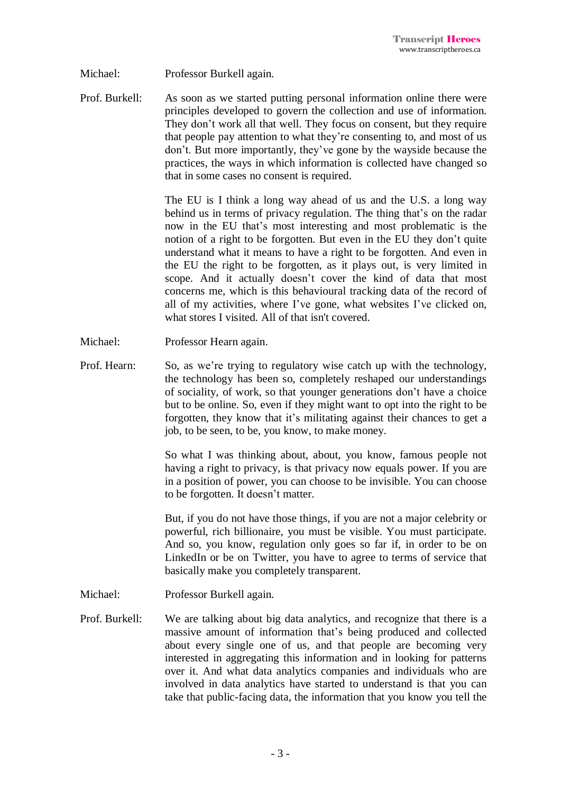- Michael: Professor Burkell again.
- Prof. Burkell: As soon as we started putting personal information online there were principles developed to govern the collection and use of information. They don't work all that well. They focus on consent, but they require that people pay attention to what they're consenting to, and most of us don't. But more importantly, they've gone by the wayside because the practices, the ways in which information is collected have changed so that in some cases no consent is required.

The EU is I think a long way ahead of us and the U.S. a long way behind us in terms of privacy regulation. The thing that's on the radar now in the EU that's most interesting and most problematic is the notion of a right to be forgotten. But even in the EU they don't quite understand what it means to have a right to be forgotten. And even in the EU the right to be forgotten, as it plays out, is very limited in scope. And it actually doesn't cover the kind of data that most concerns me, which is this behavioural tracking data of the record of all of my activities, where I've gone, what websites I've clicked on, what stores I visited. All of that isn't covered.

- Michael: Professor Hearn again.
- Prof. Hearn: So, as we're trying to regulatory wise catch up with the technology, the technology has been so, completely reshaped our understandings of sociality, of work, so that younger generations don't have a choice but to be online. So, even if they might want to opt into the right to be forgotten, they know that it's militating against their chances to get a job, to be seen, to be, you know, to make money.

So what I was thinking about, about, you know, famous people not having a right to privacy, is that privacy now equals power. If you are in a position of power, you can choose to be invisible. You can choose to be forgotten. It doesn't matter.

But, if you do not have those things, if you are not a major celebrity or powerful, rich billionaire, you must be visible. You must participate. And so, you know, regulation only goes so far if, in order to be on LinkedIn or be on Twitter, you have to agree to terms of service that basically make you completely transparent.

- Michael: Professor Burkell again.
- Prof. Burkell: We are talking about big data analytics, and recognize that there is a massive amount of information that's being produced and collected about every single one of us, and that people are becoming very interested in aggregating this information and in looking for patterns over it. And what data analytics companies and individuals who are involved in data analytics have started to understand is that you can take that public-facing data, the information that you know you tell the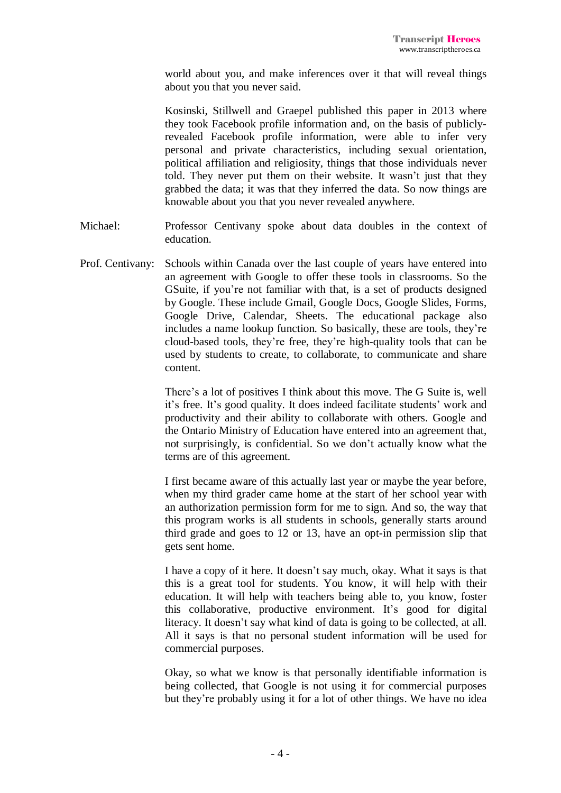world about you, and make inferences over it that will reveal things about you that you never said.

Kosinski, Stillwell and Graepel published this paper in 2013 where they took Facebook profile information and, on the basis of publiclyrevealed Facebook profile information, were able to infer very personal and private characteristics, including sexual orientation, political affiliation and religiosity, things that those individuals never told. They never put them on their website. It wasn't just that they grabbed the data; it was that they inferred the data. So now things are knowable about you that you never revealed anywhere.

- Michael: Professor Centivany spoke about data doubles in the context of education.
- Prof. Centivany: Schools within Canada over the last couple of years have entered into an agreement with Google to offer these tools in classrooms. So the GSuite, if you're not familiar with that, is a set of products designed by Google. These include Gmail, Google Docs, Google Slides, Forms, Google Drive, Calendar, Sheets. The educational package also includes a name lookup function. So basically, these are tools, they're cloud-based tools, they're free, they're high-quality tools that can be used by students to create, to collaborate, to communicate and share content.

There's a lot of positives I think about this move. The G Suite is, well it's free. It's good quality. It does indeed facilitate students' work and productivity and their ability to collaborate with others. Google and the Ontario Ministry of Education have entered into an agreement that, not surprisingly, is confidential. So we don't actually know what the terms are of this agreement.

I first became aware of this actually last year or maybe the year before, when my third grader came home at the start of her school year with an authorization permission form for me to sign. And so, the way that this program works is all students in schools, generally starts around third grade and goes to 12 or 13, have an opt-in permission slip that gets sent home.

I have a copy of it here. It doesn't say much, okay. What it says is that this is a great tool for students. You know, it will help with their education. It will help with teachers being able to, you know, foster this collaborative, productive environment. It's good for digital literacy. It doesn't say what kind of data is going to be collected, at all. All it says is that no personal student information will be used for commercial purposes.

Okay, so what we know is that personally identifiable information is being collected, that Google is not using it for commercial purposes but they're probably using it for a lot of other things. We have no idea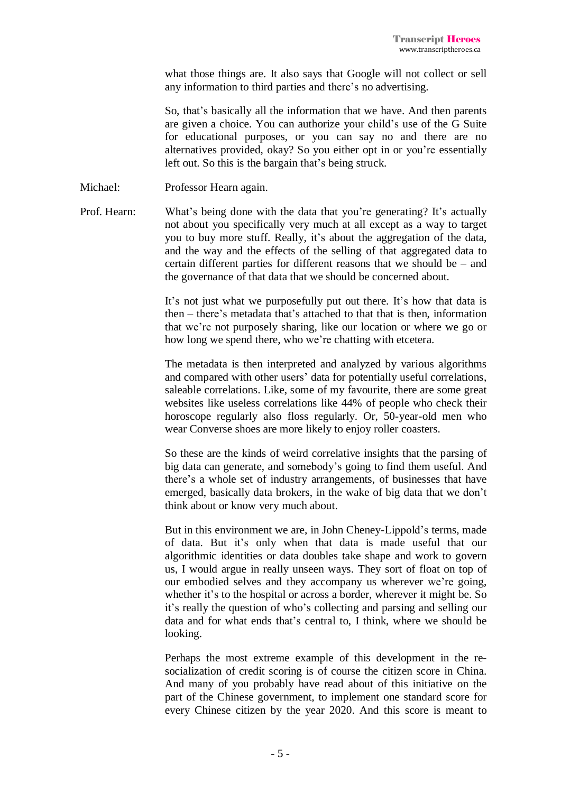what those things are. It also says that Google will not collect or sell any information to third parties and there's no advertising.

So, that's basically all the information that we have. And then parents are given a choice. You can authorize your child's use of the G Suite for educational purposes, or you can say no and there are no alternatives provided, okay? So you either opt in or you're essentially left out. So this is the bargain that's being struck.

- Michael: Professor Hearn again.
- Prof. Hearn: What's being done with the data that you're generating? It's actually not about you specifically very much at all except as a way to target you to buy more stuff. Really, it's about the aggregation of the data, and the way and the effects of the selling of that aggregated data to certain different parties for different reasons that we should be – and the governance of that data that we should be concerned about.

It's not just what we purposefully put out there. It's how that data is then – there's metadata that's attached to that that is then, information that we're not purposely sharing, like our location or where we go or how long we spend there, who we're chatting with etcetera.

The metadata is then interpreted and analyzed by various algorithms and compared with other users' data for potentially useful correlations, saleable correlations. Like, some of my favourite, there are some great websites like useless correlations like 44% of people who check their horoscope regularly also floss regularly. Or, 50-year-old men who wear Converse shoes are more likely to enjoy roller coasters.

So these are the kinds of weird correlative insights that the parsing of big data can generate, and somebody's going to find them useful. And there's a whole set of industry arrangements, of businesses that have emerged, basically data brokers, in the wake of big data that we don't think about or know very much about.

But in this environment we are, in John Cheney-Lippold's terms, made of data. But it's only when that data is made useful that our algorithmic identities or data doubles take shape and work to govern us, I would argue in really unseen ways. They sort of float on top of our embodied selves and they accompany us wherever we're going, whether it's to the hospital or across a border, wherever it might be. So it's really the question of who's collecting and parsing and selling our data and for what ends that's central to, I think, where we should be looking.

Perhaps the most extreme example of this development in the resocialization of credit scoring is of course the citizen score in China. And many of you probably have read about of this initiative on the part of the Chinese government, to implement one standard score for every Chinese citizen by the year 2020. And this score is meant to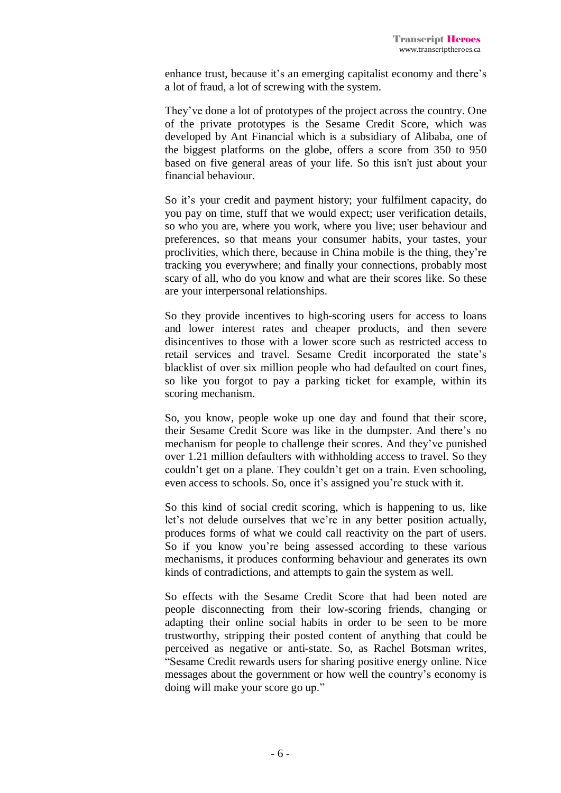enhance trust, because it's an emerging capitalist economy and there's a lot of fraud, a lot of screwing with the system.

They've done a lot of prototypes of the project across the country. One of the private prototypes is the Sesame Credit Score, which was developed by Ant Financial which is a subsidiary of Alibaba, one of the biggest platforms on the globe, offers a score from 350 to 950 based on five general areas of your life. So this isn't just about your financial behaviour.

So it's your credit and payment history; your fulfilment capacity, do you pay on time, stuff that we would expect; user verification details, so who you are, where you work, where you live; user behaviour and preferences, so that means your consumer habits, your tastes, your proclivities, which there, because in China mobile is the thing, they're tracking you everywhere; and finally your connections, probably most scary of all, who do you know and what are their scores like. So these are your interpersonal relationships.

So they provide incentives to high-scoring users for access to loans and lower interest rates and cheaper products, and then severe disincentives to those with a lower score such as restricted access to retail services and travel. Sesame Credit incorporated the state's blacklist of over six million people who had defaulted on court fines, so like you forgot to pay a parking ticket for example, within its scoring mechanism.

So, you know, people woke up one day and found that their score, their Sesame Credit Score was like in the dumpster. And there's no mechanism for people to challenge their scores. And they've punished over 1.21 million defaulters with withholding access to travel. So they couldn't get on a plane. They couldn't get on a train. Even schooling, even access to schools. So, once it's assigned you're stuck with it.

So this kind of social credit scoring, which is happening to us, like let's not delude ourselves that we're in any better position actually, produces forms of what we could call reactivity on the part of users. So if you know you're being assessed according to these various mechanisms, it produces conforming behaviour and generates its own kinds of contradictions, and attempts to gain the system as well.

So effects with the Sesame Credit Score that had been noted are people disconnecting from their low-scoring friends, changing or adapting their online social habits in order to be seen to be more trustworthy, stripping their posted content of anything that could be perceived as negative or anti-state. So, as Rachel Botsman writes, "Sesame Credit rewards users for sharing positive energy online. Nice messages about the government or how well the country's economy is doing will make your score go up."